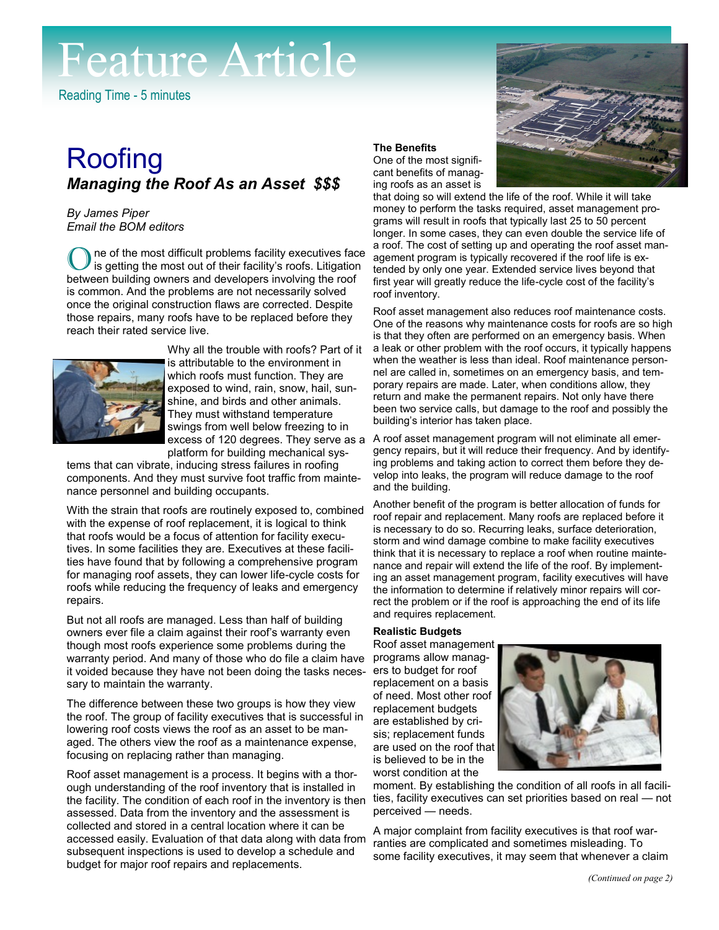# Feature Article

Reading Time - 5 minutes

# **Roofing** *Managing the Roof As an Asset \$\$\$*

*By James Piper Email the BOM editors*

ne of the most difficult problems facility executives face is getting the most out of their facility's roofs. Litigation between building owners and developers involving the roof is common. And the problems are not necessarily solved once the original construction flaws are corrected. Despite those repairs, many roofs have to be replaced before they reach their rated service live.



Why all the trouble with roofs? Part of it is attributable to the environment in which roofs must function. They are exposed to wind, rain, snow, hail, sunshine, and birds and other animals. They must withstand temperature swings from well below freezing to in excess of 120 degrees. They serve as a platform for building mechanical sys-

tems that can vibrate, inducing stress failures in roofing components. And they must survive foot traffic from maintenance personnel and building occupants.

With the strain that roofs are routinely exposed to, combined with the expense of roof replacement, it is logical to think that roofs would be a focus of attention for facility executives. In some facilities they are. Executives at these facilities have found that by following a comprehensive program for managing roof assets, they can lower life-cycle costs for roofs while reducing the frequency of leaks and emergency repairs.

But not all roofs are managed. Less than half of building owners ever file a claim against their roof's warranty even though most roofs experience some problems during the warranty period. And many of those who do file a claim have it voided because they have not been doing the tasks necessary to maintain the warranty.

The difference between these two groups is how they view the roof. The group of facility executives that is successful in lowering roof costs views the roof as an asset to be managed. The others view the roof as a maintenance expense, focusing on replacing rather than managing.

Roof asset management is a process. It begins with a thorough understanding of the roof inventory that is installed in the facility. The condition of each roof in the inventory is then assessed. Data from the inventory and the assessment is collected and stored in a central location where it can be accessed easily. Evaluation of that data along with data from subsequent inspections is used to develop a schedule and budget for major roof repairs and replacements.

## **The Benefits**

One of the most significant benefits of managing roofs as an asset is



that doing so will extend the life of the roof. While it will take money to perform the tasks required, asset management programs will result in roofs that typically last 25 to 50 percent longer. In some cases, they can even double the service life of a roof. The cost of setting up and operating the roof asset management program is typically recovered if the roof life is extended by only one year. Extended service lives beyond that first year will greatly reduce the life-cycle cost of the facility's roof inventory.

Roof asset management also reduces roof maintenance costs. One of the reasons why maintenance costs for roofs are so high is that they often are performed on an emergency basis. When a leak or other problem with the roof occurs, it typically happens when the weather is less than ideal. Roof maintenance personnel are called in, sometimes on an emergency basis, and temporary repairs are made. Later, when conditions allow, they return and make the permanent repairs. Not only have there been two service calls, but damage to the roof and possibly the building's interior has taken place.

A roof asset management program will not eliminate all emergency repairs, but it will reduce their frequency. And by identifying problems and taking action to correct them before they develop into leaks, the program will reduce damage to the roof and the building.

Another benefit of the program is better allocation of funds for roof repair and replacement. Many roofs are replaced before it is necessary to do so. Recurring leaks, surface deterioration, storm and wind damage combine to make facility executives think that it is necessary to replace a roof when routine maintenance and repair will extend the life of the roof. By implementing an asset management program, facility executives will have the information to determine if relatively minor repairs will correct the problem or if the roof is approaching the end of its life and requires replacement.

## **Realistic Budgets**

Roof asset management programs allow managers to budget for roof replacement on a basis of need. Most other roof replacement budgets are established by crisis; replacement funds are used on the roof that is believed to be in the worst condition at the



moment. By establishing the condition of all roofs in all facilities, facility executives can set priorities based on real — not perceived — needs.

A major complaint from facility executives is that roof warranties are complicated and sometimes misleading. To some facility executives, it may seem that whenever a claim